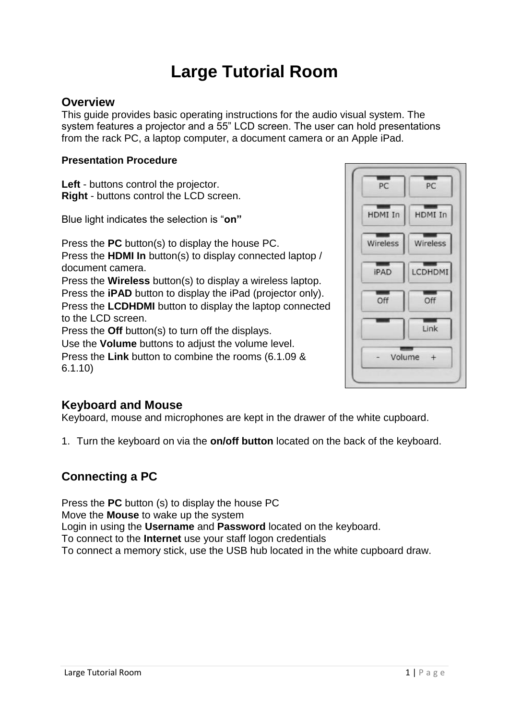# **Large Tutorial Room**

#### **Overview**

This guide provides basic operating instructions for the audio visual system. The system features a projector and a 55" LCD screen. The user can hold presentations from the rack PC, a laptop computer, a document camera or an Apple iPad.

#### **Presentation Procedure**

**Left** - buttons control the projector. **Right** - buttons control the LCD screen.

Blue light indicates the selection is "**on"**

Press the **PC** button(s) to display the house PC. Press the **HDMI In** button(s) to display connected laptop / document camera. Press the **Wireless** button(s) to display a wireless laptop. Press the **iPAD** button to display the iPad (projector only). Press the **LCDHDMI** button to display the laptop connected to the LCD screen. Press the **Off** button(s) to turn off the displays. Use the **Volume** buttons to adjust the volume level. Press the **Link** button to combine the rooms (6.1.09 & 6.1.10)



#### **Keyboard and Mouse**

Keyboard, mouse and microphones are kept in the drawer of the white cupboard.

1. Turn the keyboard on via the **on/off button** located on the back of the keyboard.

## **Connecting a PC**

Press the **PC** button (s) to display the house PC Move the **Mouse** to wake up the system Login in using the **Username** and **Password** located on the keyboard. To connect to the **Internet** use your staff logon credentials To connect a memory stick, use the USB hub located in the white cupboard draw.